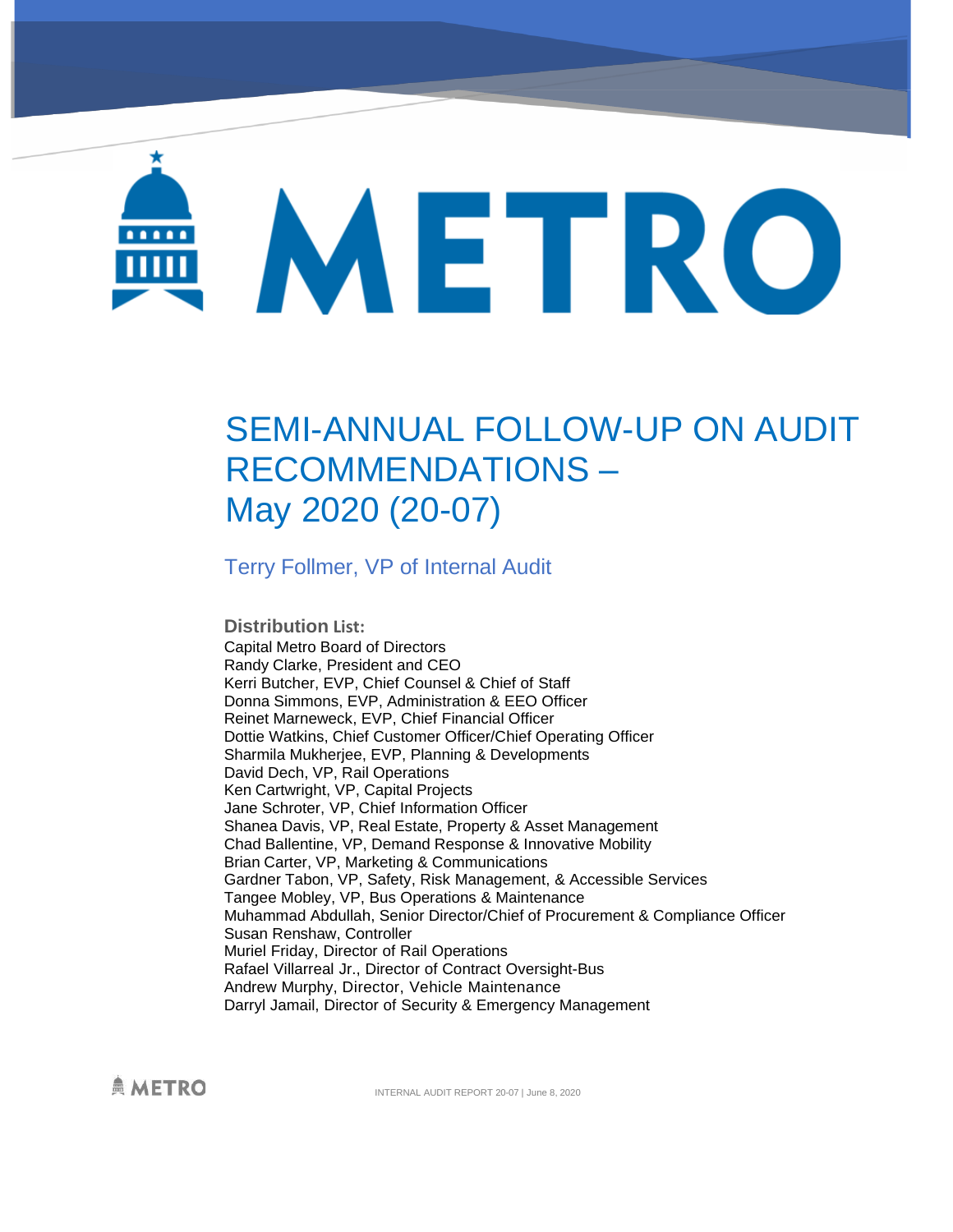# METRO

# SEMI-ANNUAL FOLLOW-UP ON AUDIT RECOMMENDATIONS – May 2020 (20-07)

Terry Follmer, VP of Internal Audit

**Distribution List:** Capital Metro Board of Directors Randy Clarke, President and CEO Kerri Butcher, EVP, Chief Counsel & Chief of Staff Donna Simmons, EVP, Administration & EEO Officer Reinet Marneweck, EVP, Chief Financial Officer Dottie Watkins, Chief Customer Officer/Chief Operating Officer Sharmila Mukherjee, EVP, Planning & Developments David Dech, VP, Rail Operations Ken Cartwright, VP, Capital Projects Jane Schroter, VP, Chief Information Officer Shanea Davis, VP, Real Estate, Property & Asset Management Chad Ballentine, VP, Demand Response & Innovative Mobility Brian Carter, VP, Marketing & Communications Gardner Tabon, VP, Safety, Risk Management, & Accessible Services Tangee Mobley, VP, Bus Operations & Maintenance Muhammad Abdullah, Senior Director/Chief of Procurement & Compliance Officer Susan Renshaw, Controller Muriel Friday, Director of Rail Operations Rafael Villarreal Jr., Director of Contract Oversight-Bus Andrew Murphy, Director, Vehicle Maintenance Darryl Jamail, Director of Security & Emergency Management

**AMETRO** 

INTERNAL AUDIT REPORT 20-07 | June 8, 2020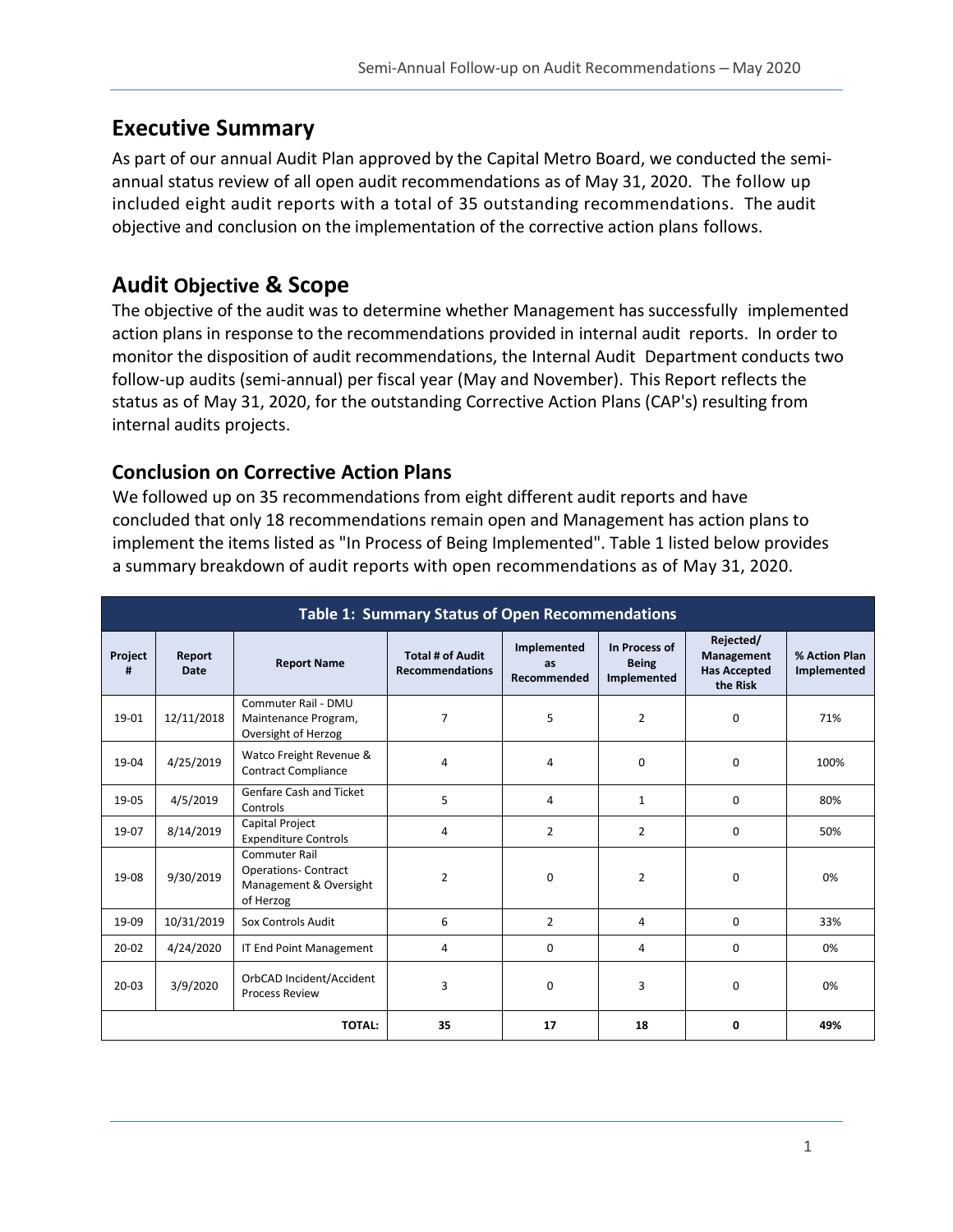# **Executive Summary**

As part of our annual Audit Plan approved by the Capital Metro Board, we conducted the semiannual status review of all open audit recommendations as of May 31, 2020. The follow up included eight audit reports with a total of 35 outstanding recommendations. The audit objective and conclusion on the implementation of the corrective action plans follows.

# **Audit Objective & Scope**

The objective of the audit was to determine whether Management has successfully implemented action plans in response to the recommendations provided in internal audit reports. In order to monitor the disposition of audit recommendations, the Internal Audit Department conducts two follow-up audits (semi-annual) per fiscal year (May and November). This Report reflects the status as of May 31, 2020, for the outstanding Corrective Action Plans (CAP's) resulting from internal audits projects.

### **Conclusion on Corrective Action Plans**

We followed up on 35 recommendations from eight different audit reports and have concluded that only 18 recommendations remain open and Management has action plans to implement the items listed as "In Process of Being Implemented". Table 1 listed below provides a summary breakdown of audit reports with open recommendations as of May 31, 2020.

| <b>Table 1: Summary Status of Open Recommendations</b> |                |                                                                                            |                                                   |                                  |                                              |                                                            |                              |
|--------------------------------------------------------|----------------|--------------------------------------------------------------------------------------------|---------------------------------------------------|----------------------------------|----------------------------------------------|------------------------------------------------------------|------------------------------|
| Project<br>#                                           | Report<br>Date | <b>Report Name</b>                                                                         | <b>Total # of Audit</b><br><b>Recommendations</b> | Implemented<br>as<br>Recommended | In Process of<br><b>Being</b><br>Implemented | Rejected/<br>Management<br><b>Has Accepted</b><br>the Risk | % Action Plan<br>Implemented |
| 19-01                                                  | 12/11/2018     | Commuter Rail - DMU<br>Maintenance Program,<br>Oversight of Herzog                         | 7                                                 | 5                                | $\overline{2}$                               | $\mathbf 0$                                                | 71%                          |
| 19-04                                                  | 4/25/2019      | Watco Freight Revenue &<br><b>Contract Compliance</b>                                      | 4                                                 | 4                                | 0                                            | $\mathbf 0$                                                | 100%                         |
| 19-05                                                  | 4/5/2019       | Genfare Cash and Ticket<br>Controls                                                        | 5                                                 | 4                                | $\mathbf{1}$                                 | $\Omega$                                                   | 80%                          |
| 19-07                                                  | 8/14/2019      | <b>Capital Project</b><br><b>Expenditure Controls</b>                                      | 4                                                 | $\overline{2}$                   | 2                                            | $\Omega$                                                   | 50%                          |
| 19-08                                                  | 9/30/2019      | <b>Commuter Rail</b><br><b>Operations- Contract</b><br>Management & Oversight<br>of Herzog | $\overline{2}$                                    | $\Omega$                         | 2                                            | $\Omega$                                                   | 0%                           |
| 19-09                                                  | 10/31/2019     | Sox Controls Audit                                                                         | 6                                                 | $\overline{2}$                   | 4                                            | $\Omega$                                                   | 33%                          |
| $20 - 02$                                              | 4/24/2020      | IT End Point Management                                                                    | 4                                                 | 0                                | 4                                            | 0                                                          | 0%                           |
| $20 - 03$                                              | 3/9/2020       | OrbCAD Incident/Accident<br><b>Process Review</b>                                          | 3                                                 | $\Omega$                         | 3                                            | $\Omega$                                                   | 0%                           |
| <b>TOTAL:</b>                                          |                |                                                                                            | 35                                                | 17                               | 18                                           | 0                                                          | 49%                          |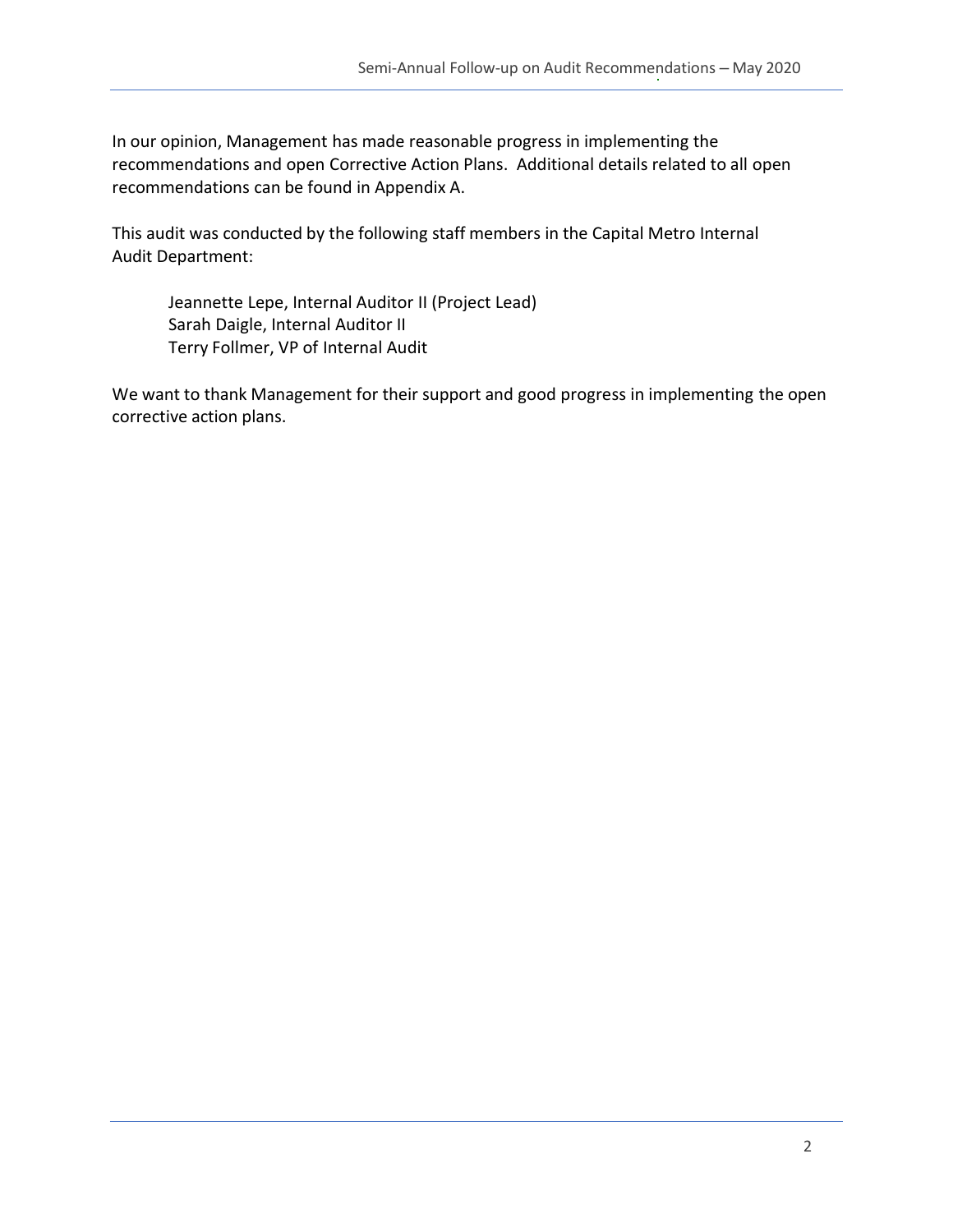In our opinion, Management has made reasonable progress in implementing the recommendations and open Corrective Action Plans. Additional details related to all open recommendations can be found in Appendix A.

This audit was conducted by the following staff members in the Capital Metro Internal Audit Department:

Jeannette Lepe, Internal Auditor II (Project Lead) Sarah Daigle, Internal Auditor II Terry Follmer, VP of Internal Audit

We want to thank Management for their support and good progress in implementing the open corrective action plans.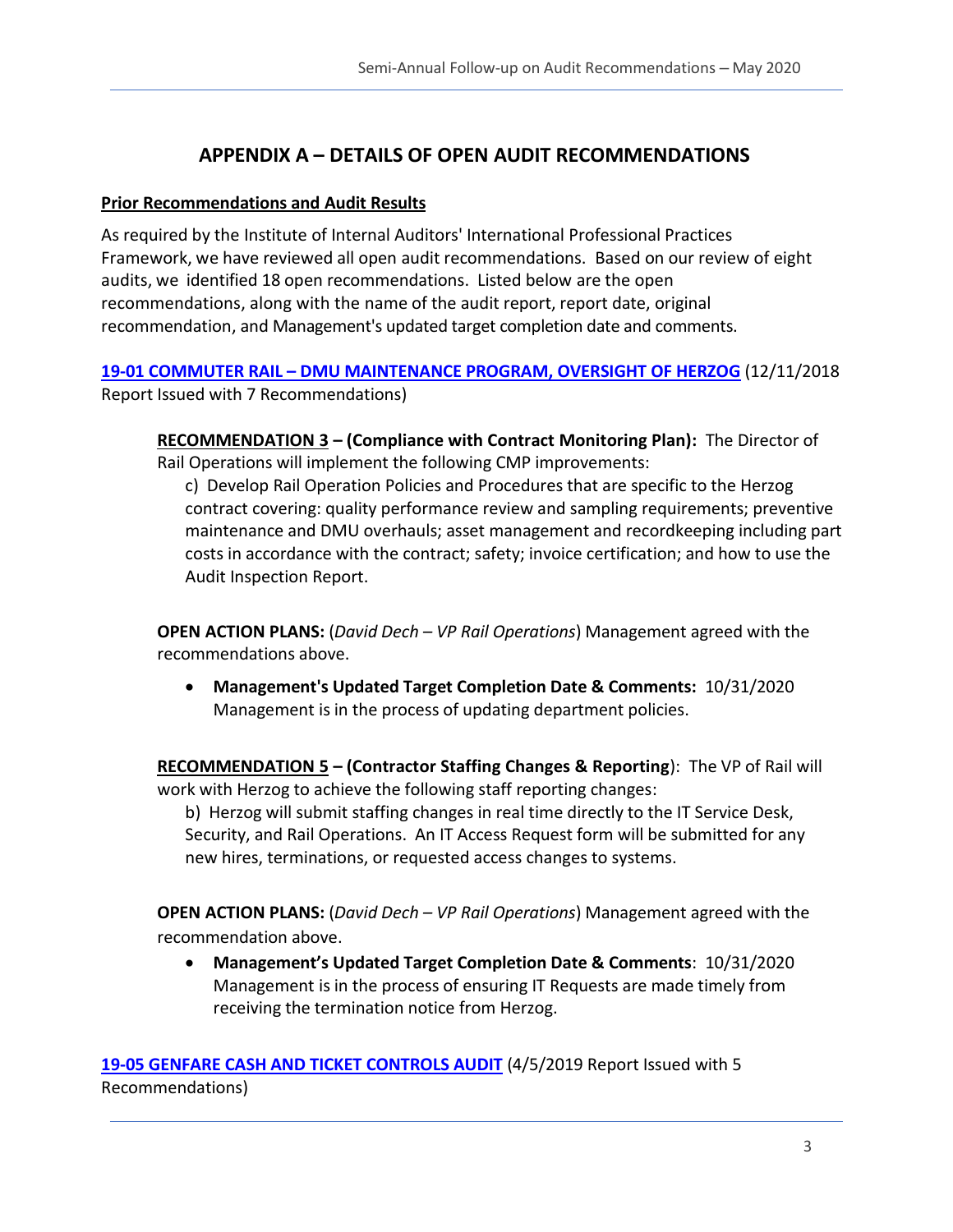#### **APPENDIX A – DETAILS OF OPEN AUDIT RECOMMENDATIONS**

#### **Prior Recommendations and Audit Results**

As required by the Institute of Internal Auditors' International Professional Practices Framework, we have reviewed all open audit recommendations. Based on our review of eight audits, we identified 18 open recommendations. Listed below are the open recommendations, along with the name of the audit report, report date, original recommendation, and Management's updated target completion date and comments.

**19-01 COMMUTER RAIL – [DMU MAINTENANCE PROGRAM, OVERSIGHT OF HERZOG](https://www.capmetro.org/uploadedFiles/New2016/About_Capital_Metro/Financial_Transparency/Audit_Documents/Fiscal_Year_2019_Internal_Audits/19-01-Commuter-Rail-DMU-Maintenance-Program-2-11-18.pdf)** (12/11/2018 Report Issued with 7 Recommendations)

**RECOMMENDATION 3 – (Compliance with Contract Monitoring Plan):** The Director of Rail Operations will implement the following CMP improvements:

c) Develop Rail Operation Policies and Procedures that are specific to the Herzog contract covering: quality performance review and sampling requirements; preventive maintenance and DMU overhauls; asset management and recordkeeping including part costs in accordance with the contract; safety; invoice certification; and how to use the Audit Inspection Report.

**OPEN ACTION PLANS:** (*David Dech – VP Rail Operations*) Management agreed with the recommendations above.

• **Management's Updated Target Completion Date & Comments:** 10/31/2020 Management is in the process of updating department policies.

**RECOMMENDATION 5 – (Contractor Staffing Changes & Reporting**): The VP of Rail will work with Herzog to achieve the following staff reporting changes:

b) Herzog will submit staffing changes in real time directly to the IT Service Desk, Security, and Rail Operations. An IT Access Request form will be submitted for any new hires, terminations, or requested access changes to systems.

**OPEN ACTION PLANS:** (*David Dech – VP Rail Operations*) Management agreed with the recommendation above.

• **Management's Updated Target Completion Date & Comments**: 10/31/2020 Management is in the process of ensuring IT Requests are made timely from receiving the termination notice from Herzog.

**[19-05 GENFARE CASH AND TICKET CONTROLS AUDIT](https://capmetro.sharepoint.com/sites/ADT/DeptOnly/2018/Audit%20Plan%20and%20Projects/Audit%20Projects/19-05%20Genfare%20Cash%20and%20Ticket%20Controls/3%20-%20Reporting/19-05%20Genfare%20Cash%20and%20Ticket%20Controls%20Audit%204-5-19.docx)** (4/5/2019 Report Issued with 5 Recommendations)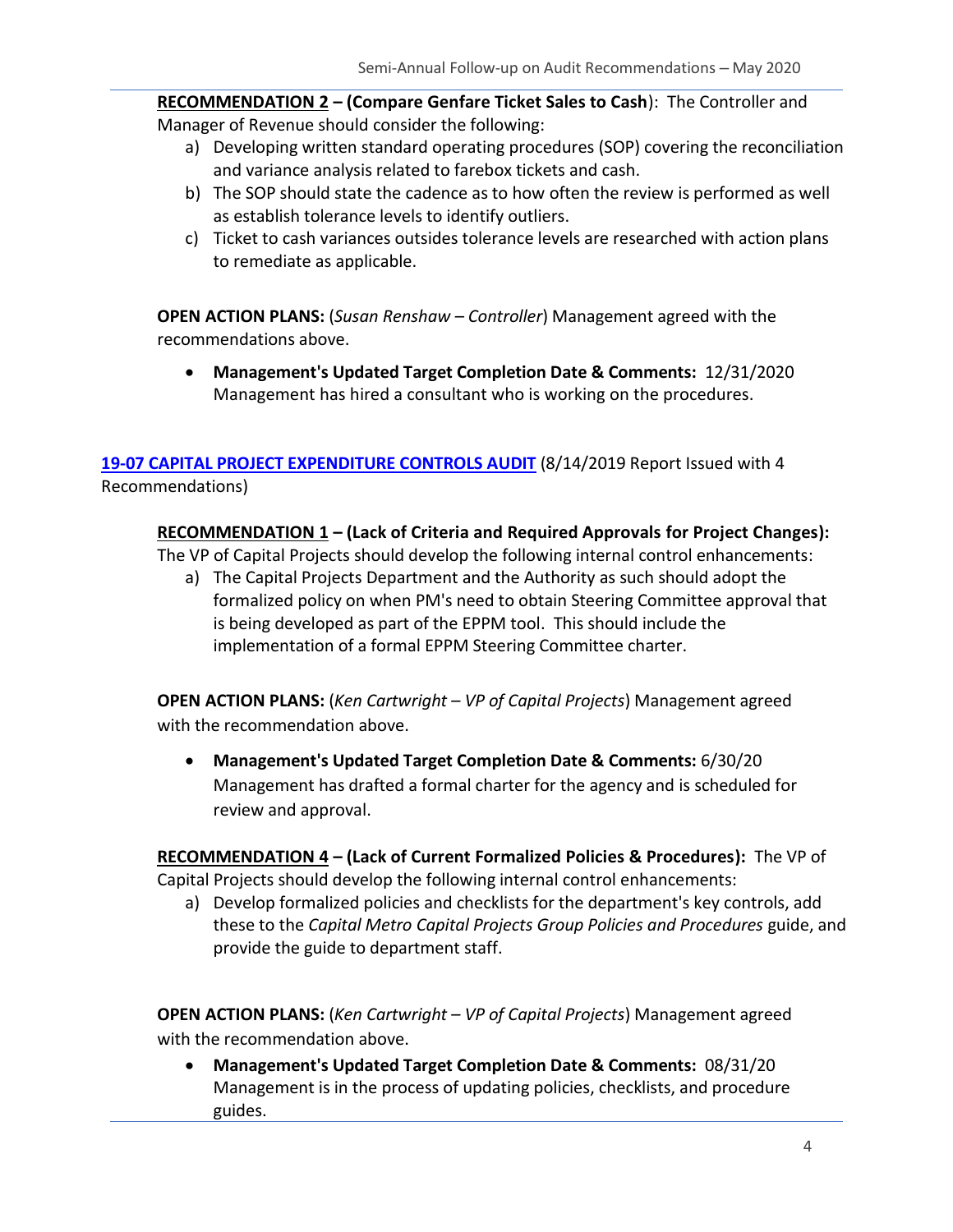**RECOMMENDATION 2 – (Compare Genfare Ticket Sales to Cash**): The Controller and Manager of Revenue should consider the following:

- a) Developing written standard operating procedures (SOP) covering the reconciliation and variance analysis related to farebox tickets and cash.
- b) The SOP should state the cadence as to how often the review is performed as well as establish tolerance levels to identify outliers.
- c) Ticket to cash variances outsides tolerance levels are researched with action plans to remediate as applicable.

**OPEN ACTION PLANS:** (*Susan Renshaw – Controller*) Management agreed with the recommendations above.

• **Management's Updated Target Completion Date & Comments:** 12/31/2020 Management has hired a consultant who is working on the procedures.

#### **[19-07 CAPITAL PROJECT EXPENDITURE CONTROLS AUDIT](https://www.capmetro.org/uploadedFiles/New2016/About_Capital_Metro/Financial_Transparency/Audit_Documents/Fiscal_Year_2019_Internal_Audits/19-07-Capital-Project-Expenditure-Controls-Audit-Report.pdf)** (8/14/2019 Report Issued with 4 Recommendations)

#### **RECOMMENDATION 1 – (Lack of Criteria and Required Approvals for Project Changes):**

The VP of Capital Projects should develop the following internal control enhancements:

a) The Capital Projects Department and the Authority as such should adopt the formalized policy on when PM's need to obtain Steering Committee approval that is being developed as part of the EPPM tool. This should include the implementation of a formal EPPM Steering Committee charter.

**OPEN ACTION PLANS:** (*Ken Cartwright – VP of Capital Projects*) Management agreed with the recommendation above.

• **Management's Updated Target Completion Date & Comments:** 6/30/20 Management has drafted a formal charter for the agency and is scheduled for review and approval.

**RECOMMENDATION 4 – (Lack of Current Formalized Policies & Procedures):** The VP of Capital Projects should develop the following internal control enhancements:

a) Develop formalized policies and checklists for the department's key controls, add these to the *Capital Metro Capital Projects Group Policies and Procedures* guide, and provide the guide to department staff.

**OPEN ACTION PLANS:** (*Ken Cartwright – VP of Capital Projects*) Management agreed with the recommendation above.

• **Management's Updated Target Completion Date & Comments:** 08/31/20 Management is in the process of updating policies, checklists, and procedure guides.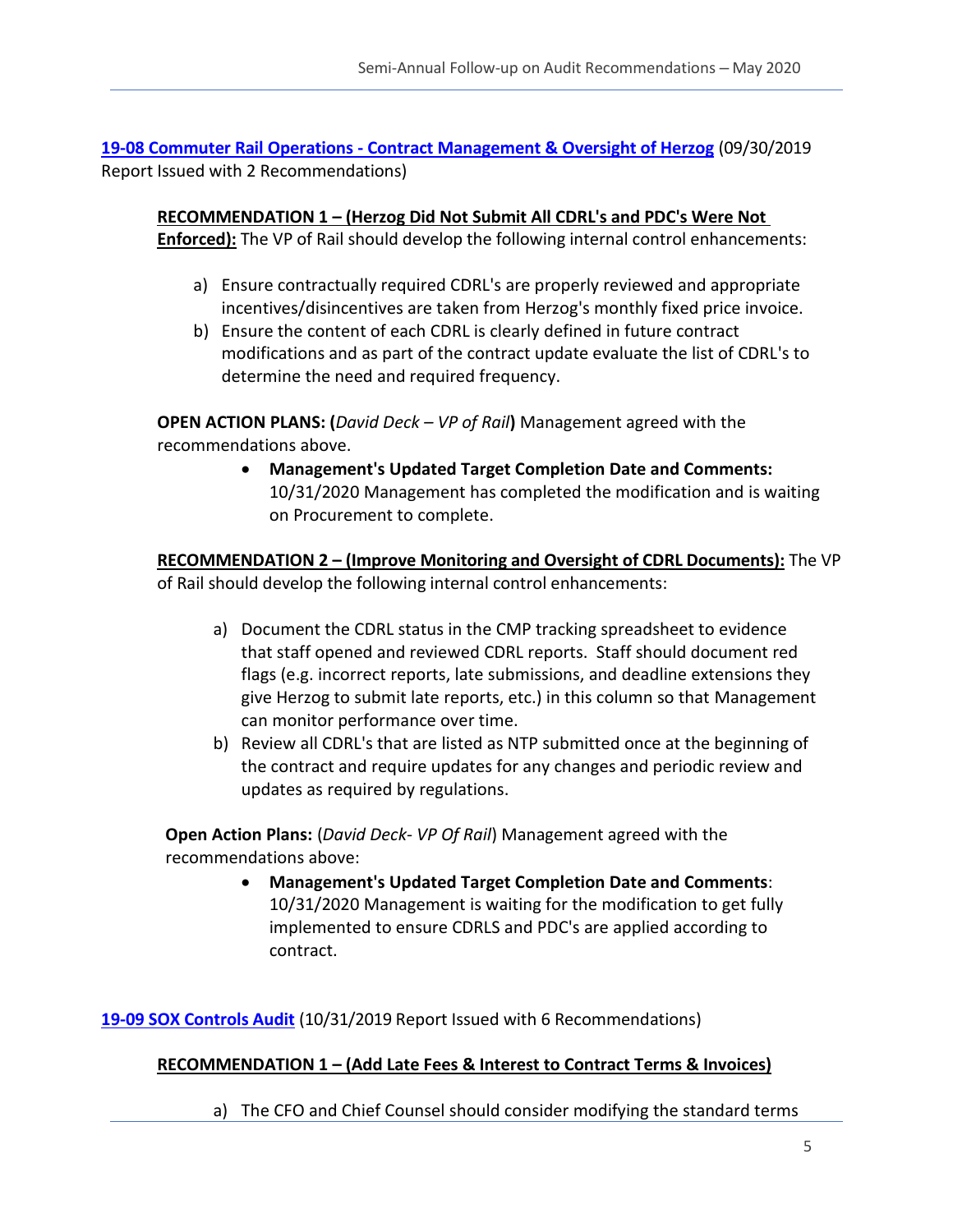**19-08 Commuter Rail Operations - [Contract Management & Oversight of Herzog](https://capmetro.sharepoint.com/sites/ADT/DeptOnly/2018/Audit%20Plan%20and%20Projects/Audit%20Projects/19-08%20Commuter%20Rail%20-%20CDRLs%20Herzog/3.)%20Reporting/19-08%20Commuter%20Rail%20Operations%20-%20Contract%20Management%20&%20Oversight%20of%20Herzog.docx)** (09/30/2019 Report Issued with 2 Recommendations)

**RECOMMENDATION 1 – (Herzog Did Not Submit All CDRL's and PDC's Were Not Enforced):** The VP of Rail should develop the following internal control enhancements:

- a) Ensure contractually required CDRL's are properly reviewed and appropriate incentives/disincentives are taken from Herzog's monthly fixed price invoice.
- b) Ensure the content of each CDRL is clearly defined in future contract modifications and as part of the contract update evaluate the list of CDRL's to determine the need and required frequency.

**OPEN ACTION PLANS: (***David Deck – VP of Rail***)** Management agreed with the recommendations above.

> • **Management's Updated Target Completion Date and Comments:** 10/31/2020 Management has completed the modification and is waiting on Procurement to complete.

**RECOMMENDATION 2 – (Improve Monitoring and Oversight of CDRL Documents):** The VP of Rail should develop the following internal control enhancements:

- a) Document the CDRL status in the CMP tracking spreadsheet to evidence that staff opened and reviewed CDRL reports. Staff should document red flags (e.g. incorrect reports, late submissions, and deadline extensions they give Herzog to submit late reports, etc.) in this column so that Management can monitor performance over time.
- b) Review all CDRL's that are listed as NTP submitted once at the beginning of the contract and require updates for any changes and periodic review and updates as required by regulations.

**Open Action Plans:** (*David Deck- VP Of Rail*) Management agreed with the recommendations above:

> • **Management's Updated Target Completion Date and Comments**: 10/31/2020 Management is waiting for the modification to get fully implemented to ensure CDRLS and PDC's are applied according to contract.

**19-09 SOX [Controls Audit](https://capmetro.sharepoint.com/sites/ADT/DeptOnly/2018/Audit%20Plan%20and%20Projects/Audit%20Projects/19-09_Sox_Like_Controls_Audit-Miscellaneous_Revenue/3-Reporting/19-09%20SOX%20Controls%20Audit%20-%20Miscellaneous%20Revenue%2010-31-19.docx)** (10/31/2019 Report Issued with 6 Recommendations)

#### **RECOMMENDATION 1 – (Add Late Fees & Interest to Contract Terms & Invoices)**

a) The CFO and Chief Counsel should consider modifying the standard terms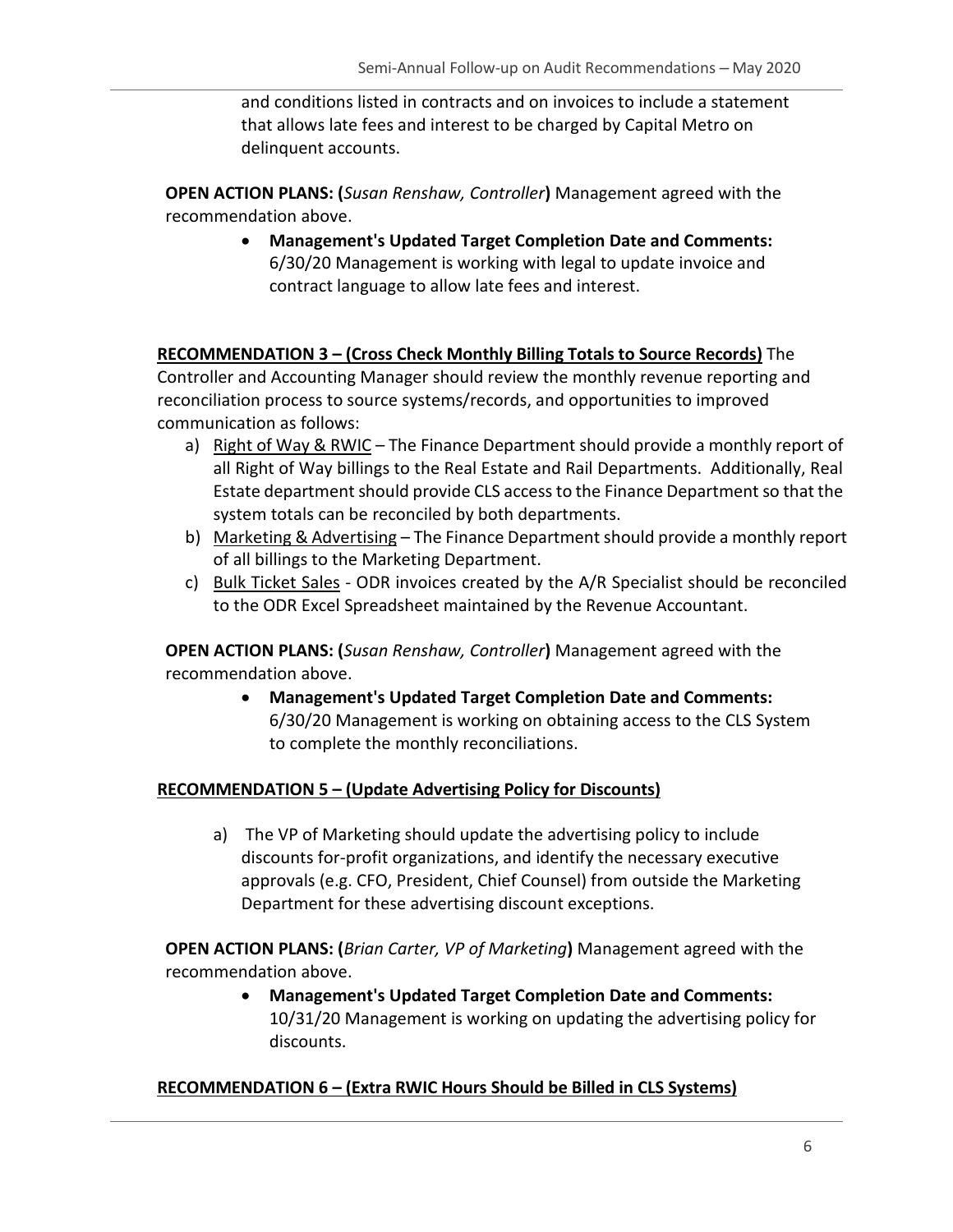and conditions listed in contracts and on invoices to include a statement that allows late fees and interest to be charged by Capital Metro on delinquent accounts.

**OPEN ACTION PLANS: (***Susan Renshaw, Controller***)** Management agreed with the recommendation above.

> • **Management's Updated Target Completion Date and Comments:** 6/30/20 Management is working with legal to update invoice and contract language to allow late fees and interest.

#### **RECOMMENDATION 3 – (Cross Check Monthly Billing Totals to Source Records)** The

Controller and Accounting Manager should review the monthly revenue reporting and reconciliation process to source systems/records, and opportunities to improved communication as follows:

- a) Right of Way & RWIC The Finance Department should provide a monthly report of all Right of Way billings to the Real Estate and Rail Departments. Additionally, Real Estate department should provide CLS access to the Finance Department so that the system totals can be reconciled by both departments.
- b) Marketing & Advertising The Finance Department should provide a monthly report of all billings to the Marketing Department.
- c) Bulk Ticket Sales ODR invoices created by the A/R Specialist should be reconciled to the ODR Excel Spreadsheet maintained by the Revenue Accountant.

**OPEN ACTION PLANS: (***Susan Renshaw, Controller***)** Management agreed with the recommendation above.

> • **Management's Updated Target Completion Date and Comments:** 6/30/20 Management is working on obtaining access to the CLS System to complete the monthly reconciliations.

#### **RECOMMENDATION 5 – (Update Advertising Policy for Discounts)**

a) The VP of Marketing should update the advertising policy to include discounts for-profit organizations, and identify the necessary executive approvals (e.g. CFO, President, Chief Counsel) from outside the Marketing Department for these advertising discount exceptions.

**OPEN ACTION PLANS: (***Brian Carter, VP of Marketing***)** Management agreed with the recommendation above.

> • **Management's Updated Target Completion Date and Comments:** 10/31/20 Management is working on updating the advertising policy for discounts.

#### **RECOMMENDATION 6 – (Extra RWIC Hours Should be Billed in CLS Systems)**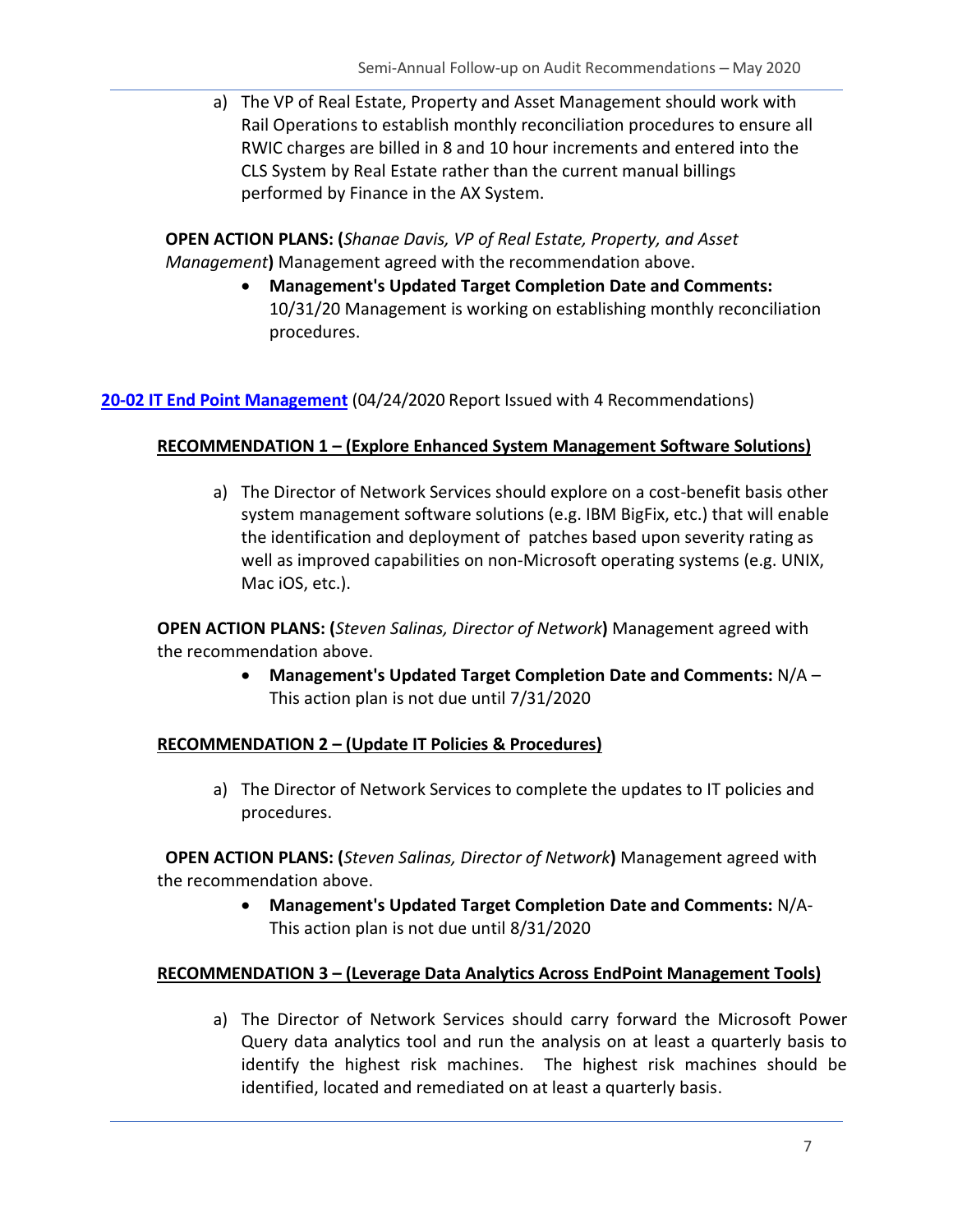a) The VP of Real Estate, Property and Asset Management should work with Rail Operations to establish monthly reconciliation procedures to ensure all RWIC charges are billed in 8 and 10 hour increments and entered into the CLS System by Real Estate rather than the current manual billings performed by Finance in the AX System.

**OPEN ACTION PLANS: (***Shanae Davis, VP of Real Estate, Property, and Asset Management***)** Management agreed with the recommendation above.

> • **Management's Updated Target Completion Date and Comments:** 10/31/20 Management is working on establishing monthly reconciliation procedures.

**[20-02 IT End Point Management](https://capmetro.sharepoint.com/sites/ADT/DeptOnly/2018/Audit%20Plan%20and%20Projects/Audit%20Projects/20-02%20IT%20Endpoint%20Management/3%20-%20Reporting/20-02%20%20IT%20Endpoint%20Management%20%204-24-2020.docx)** (04/24/2020 Report Issued with 4 Recommendations)

#### **RECOMMENDATION 1 – (Explore Enhanced System Management Software Solutions)**

a) The Director of Network Services should explore on a cost-benefit basis other system management software solutions (e.g. IBM BigFix, etc.) that will enable the identification and deployment of patches based upon severity rating as well as improved capabilities on non-Microsoft operating systems (e.g. UNIX, Mac iOS, etc.).

**OPEN ACTION PLANS: (***Steven Salinas, Director of Network***)** Management agreed with the recommendation above.

> • **Management's Updated Target Completion Date and Comments:** N/A – This action plan is not due until 7/31/2020

#### **RECOMMENDATION 2 – (Update IT Policies & Procedures)**

a) The Director of Network Services to complete the updates to IT policies and procedures.

**OPEN ACTION PLANS: (***Steven Salinas, Director of Network***)** Management agreed with the recommendation above.

> • **Management's Updated Target Completion Date and Comments:** N/A-This action plan is not due until 8/31/2020

#### **RECOMMENDATION 3 – (Leverage Data Analytics Across EndPoint Management Tools)**

a) The Director of Network Services should carry forward the Microsoft Power Query data analytics tool and run the analysis on at least a quarterly basis to identify the highest risk machines. The highest risk machines should be identified, located and remediated on at least a quarterly basis.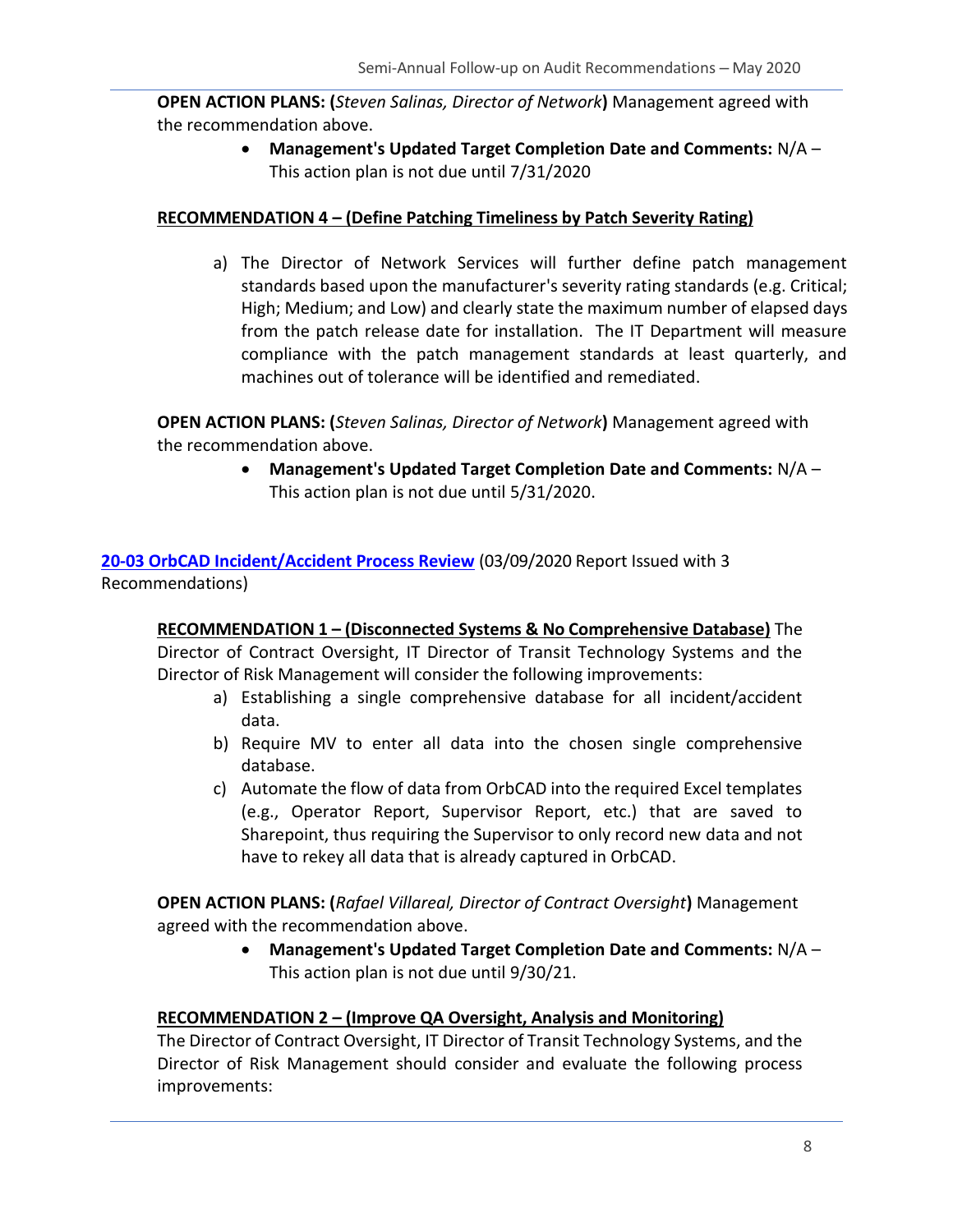**OPEN ACTION PLANS: (***Steven Salinas, Director of Network***)** Management agreed with the recommendation above.

> • **Management's Updated Target Completion Date and Comments:** N/A – This action plan is not due until 7/31/2020

#### **RECOMMENDATION 4 – (Define Patching Timeliness by Patch Severity Rating)**

a) The Director of Network Services will further define patch management standards based upon the manufacturer's severity rating standards (e.g. Critical; High; Medium; and Low) and clearly state the maximum number of elapsed days from the patch release date for installation. The IT Department will measure compliance with the patch management standards at least quarterly, and machines out of tolerance will be identified and remediated.

**OPEN ACTION PLANS: (***Steven Salinas, Director of Network***)** Management agreed with the recommendation above.

> • **Management's Updated Target Completion Date and Comments:** N/A – This action plan is not due until 5/31/2020.

[20-03 OrbCAD Incident/Accident Process Review](https://capmetro.sharepoint.com/sites/ADT/DeptOnly/2018/Audit%20Plan%20and%20Projects/Audit%20Projects/20-03_OrbCAD%20Incident-Accident%20Process%20Review/3%20-%20Reporting/20-03%20OrbCAD%20Incident-Accident%20Process%20Review.docx) (03/09/2020 Report Issued with 3 Recommendations)

**RECOMMENDATION 1 – (Disconnected Systems & No Comprehensive Database)** The Director of Contract Oversight, IT Director of Transit Technology Systems and the Director of Risk Management will consider the following improvements:

- a) Establishing a single comprehensive database for all incident/accident data.
- b) Require MV to enter all data into the chosen single comprehensive database.
- c) Automate the flow of data from OrbCAD into the required Excel templates (e.g., Operator Report, Supervisor Report, etc.) that are saved to Sharepoint, thus requiring the Supervisor to only record new data and not have to rekey all data that is already captured in OrbCAD.

**OPEN ACTION PLANS: (***Rafael Villareal, Director of Contract Oversight***)** Management agreed with the recommendation above.

> • **Management's Updated Target Completion Date and Comments:** N/A – This action plan is not due until 9/30/21.

#### **RECOMMENDATION 2 – (Improve QA Oversight, Analysis and Monitoring)**

The Director of Contract Oversight, IT Director of Transit Technology Systems, and the Director of Risk Management should consider and evaluate the following process improvements: